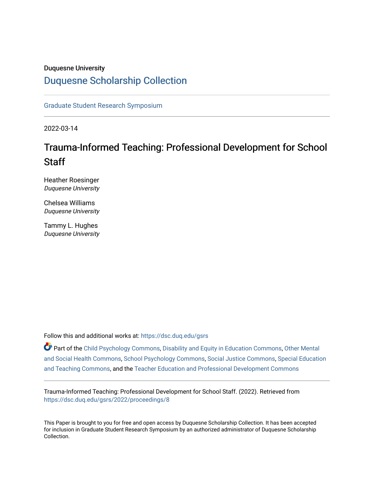#### Duquesne University

# [Duquesne Scholarship Collection](https://dsc.duq.edu/)

[Graduate Student Research Symposium](https://dsc.duq.edu/gsrs)

2022-03-14

# Trauma-Informed Teaching: Professional Development for School **Staff**

Heather Roesinger Duquesne University

Chelsea Williams Duquesne University

Tammy L. Hughes Duquesne University

Follow this and additional works at: [https://dsc.duq.edu/gsrs](https://dsc.duq.edu/gsrs?utm_source=dsc.duq.edu%2Fgsrs%2F2022%2Fproceedings%2F8&utm_medium=PDF&utm_campaign=PDFCoverPages)

Part of the [Child Psychology Commons,](https://network.bepress.com/hgg/discipline/1023?utm_source=dsc.duq.edu%2Fgsrs%2F2022%2Fproceedings%2F8&utm_medium=PDF&utm_campaign=PDFCoverPages) [Disability and Equity in Education Commons](https://network.bepress.com/hgg/discipline/1040?utm_source=dsc.duq.edu%2Fgsrs%2F2022%2Fproceedings%2F8&utm_medium=PDF&utm_campaign=PDFCoverPages), [Other Mental](https://network.bepress.com/hgg/discipline/717?utm_source=dsc.duq.edu%2Fgsrs%2F2022%2Fproceedings%2F8&utm_medium=PDF&utm_campaign=PDFCoverPages) [and Social Health Commons](https://network.bepress.com/hgg/discipline/717?utm_source=dsc.duq.edu%2Fgsrs%2F2022%2Fproceedings%2F8&utm_medium=PDF&utm_campaign=PDFCoverPages), [School Psychology Commons](https://network.bepress.com/hgg/discipline/1072?utm_source=dsc.duq.edu%2Fgsrs%2F2022%2Fproceedings%2F8&utm_medium=PDF&utm_campaign=PDFCoverPages), [Social Justice Commons,](https://network.bepress.com/hgg/discipline/1432?utm_source=dsc.duq.edu%2Fgsrs%2F2022%2Fproceedings%2F8&utm_medium=PDF&utm_campaign=PDFCoverPages) [Special Education](https://network.bepress.com/hgg/discipline/801?utm_source=dsc.duq.edu%2Fgsrs%2F2022%2Fproceedings%2F8&utm_medium=PDF&utm_campaign=PDFCoverPages) [and Teaching Commons](https://network.bepress.com/hgg/discipline/801?utm_source=dsc.duq.edu%2Fgsrs%2F2022%2Fproceedings%2F8&utm_medium=PDF&utm_campaign=PDFCoverPages), and the [Teacher Education and Professional Development Commons](https://network.bepress.com/hgg/discipline/803?utm_source=dsc.duq.edu%2Fgsrs%2F2022%2Fproceedings%2F8&utm_medium=PDF&utm_campaign=PDFCoverPages) 

Trauma-Informed Teaching: Professional Development for School Staff. (2022). Retrieved from [https://dsc.duq.edu/gsrs/2022/proceedings/8](https://dsc.duq.edu/gsrs/2022/proceedings/8?utm_source=dsc.duq.edu%2Fgsrs%2F2022%2Fproceedings%2F8&utm_medium=PDF&utm_campaign=PDFCoverPages) 

This Paper is brought to you for free and open access by Duquesne Scholarship Collection. It has been accepted for inclusion in Graduate Student Research Symposium by an authorized administrator of Duquesne Scholarship Collection.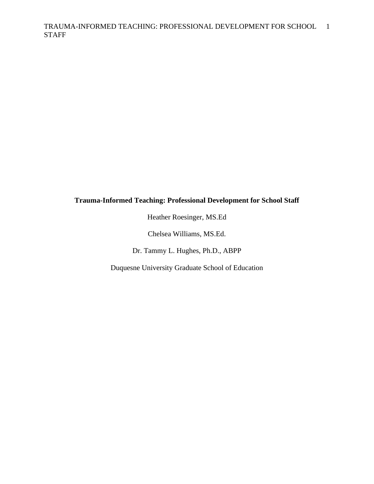# **Trauma-Informed Teaching: Professional Development for School Staff**

Heather Roesinger, MS.Ed

Chelsea Williams, MS.Ed.

Dr. Tammy L. Hughes, Ph.D., ABPP

Duquesne University Graduate School of Education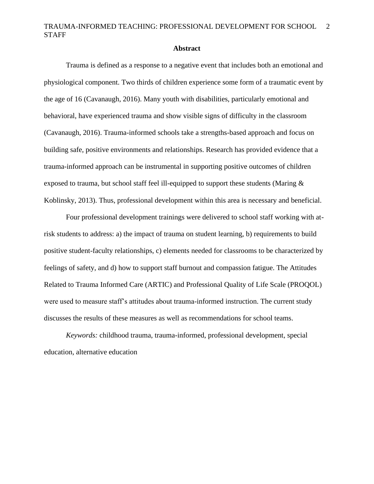#### **Abstract**

Trauma is defined as a response to a negative event that includes both an emotional and physiological component. Two thirds of children experience some form of a traumatic event by the age of 16 (Cavanaugh, 2016). Many youth with disabilities, particularly emotional and behavioral, have experienced trauma and show visible signs of difficulty in the classroom (Cavanaugh, 2016). Trauma-informed schools take a strengths-based approach and focus on building safe, positive environments and relationships. Research has provided evidence that a trauma-informed approach can be instrumental in supporting positive outcomes of children exposed to trauma, but school staff feel ill-equipped to support these students (Maring & Koblinsky, 2013). Thus, professional development within this area is necessary and beneficial.

Four professional development trainings were delivered to school staff working with atrisk students to address: a) the impact of trauma on student learning, b) requirements to build positive student-faculty relationships, c) elements needed for classrooms to be characterized by feelings of safety, and d) how to support staff burnout and compassion fatigue. The Attitudes Related to Trauma Informed Care (ARTIC) and Professional Quality of Life Scale (PROQOL) were used to measure staff's attitudes about trauma-informed instruction. The current study discusses the results of these measures as well as recommendations for school teams.

*Keywords:* childhood trauma, trauma-informed, professional development, special education, alternative education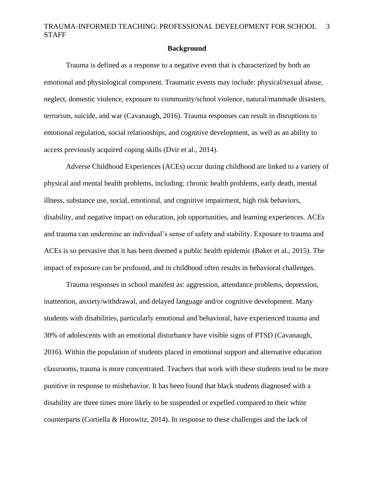#### **Background**

Trauma is defined as a response to a negative event that is characterized by both an emotional and physiological component. Traumatic events may include: physical/sexual abuse, neglect, domestic violence, exposure to community/school violence, natural/manmade disasters, terrorism, suicide, and war (Cavanaugh, 2016). Trauma responses can result in disruptions to emotional regulation, social relationships, and cognitive development, as well as an ability to access previously acquired coping skills (Dvir et al., 2014).

Adverse Childhood Experiences (ACEs) occur during childhood are linked to a variety of physical and mental health problems, including: chronic health problems, early death, mental illness, substance use, social, emotional, and cognitive impairment, high risk behaviors, disability, and negative impact on education, job opportunities, and learning experiences. ACEs and trauma can undermine an individual's sense of safety and stability. Exposure to trauma and ACEs is so pervasive that it has been deemed a public health epidemic (Baker et al., 2015). The impact of exposure can be profound, and in childhood often results in behavioral challenges.

Trauma responses in school manifest as: aggression, attendance problems, depression, inattention, anxiety/withdrawal, and delayed language and/or cognitive development. Many students with disabilities, particularly emotional and behavioral, have experienced trauma and 30% of adolescents with an emotional disturbance have visible signs of PTSD (Cavanaugh, 2016). Within the population of students placed in emotional support and alternative education classrooms, trauma is more concentrated. Teachers that work with these students tend to be more punitive in response to misbehavior. It has been found that black students diagnosed with a disability are three times more likely to be suspended or expelled compared to their white counterparts (Cortiella & Horowitz, 2014). In response to these challenges and the lack of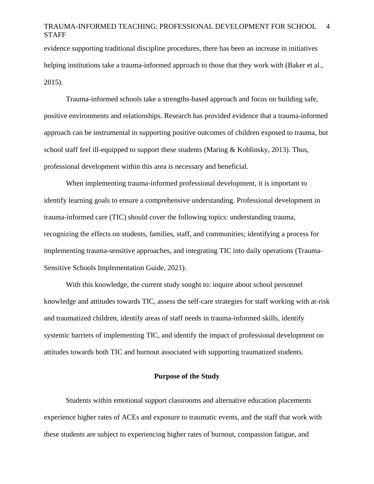evidence supporting traditional discipline procedures, there has been an increase in initiatives helping institutions take a trauma-informed approach to those that they work with (Baker et al., 2015).

Trauma-informed schools take a strengths-based approach and focus on building safe, positive environments and relationships. Research has provided evidence that a trauma-informed approach can be instrumental in supporting positive outcomes of children exposed to trauma, but school staff feel ill-equipped to support these students (Maring  $& K$ oblinsky, 2013). Thus, professional development within this area is necessary and beneficial.

When implementing trauma-informed professional development, it is important to identify learning goals to ensure a comprehensive understanding. Professional development in trauma-informed care (TIC) should cover the following topics: understanding trauma, recognizing the effects on students, families, staff, and communities; identifying a process for implementing trauma-sensitive approaches, and integrating TIC into daily operations (Trauma-Sensitive Schools Implementation Guide, 2021).

With this knowledge, the current study sought to: inquire about school personnel knowledge and attitudes towards TIC, assess the self-care strategies for staff working with at-risk and traumatized children, identify areas of staff needs in trauma-informed skills, identify systemic barriers of implementing TIC, and identify the impact of professional development on attitudes towards both TIC and burnout associated with supporting traumatized students.

#### **Purpose of the Study**

Students within emotional support classrooms and alternative education placements experience higher rates of ACEs and exposure to traumatic events, and the staff that work with these students are subject to experiencing higher rates of burnout, compassion fatigue, and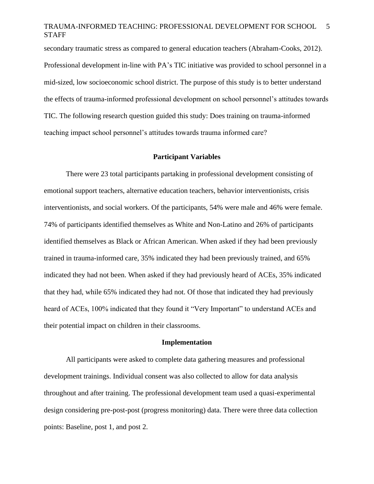secondary traumatic stress as compared to general education teachers (Abraham-Cooks, 2012). Professional development in-line with PA's TIC initiative was provided to school personnel in a mid-sized, low socioeconomic school district. The purpose of this study is to better understand the effects of trauma-informed professional development on school personnel's attitudes towards TIC. The following research question guided this study: Does training on trauma-informed teaching impact school personnel's attitudes towards trauma informed care?

#### **Participant Variables**

There were 23 total participants partaking in professional development consisting of emotional support teachers, alternative education teachers, behavior interventionists, crisis interventionists, and social workers. Of the participants, 54% were male and 46% were female. 74% of participants identified themselves as White and Non-Latino and 26% of participants identified themselves as Black or African American. When asked if they had been previously trained in trauma-informed care, 35% indicated they had been previously trained, and 65% indicated they had not been. When asked if they had previously heard of ACEs, 35% indicated that they had, while 65% indicated they had not. Of those that indicated they had previously heard of ACEs, 100% indicated that they found it "Very Important" to understand ACEs and their potential impact on children in their classrooms.

#### **Implementation**

All participants were asked to complete data gathering measures and professional development trainings. Individual consent was also collected to allow for data analysis throughout and after training. The professional development team used a quasi-experimental design considering pre-post-post (progress monitoring) data. There were three data collection points: Baseline, post 1, and post 2.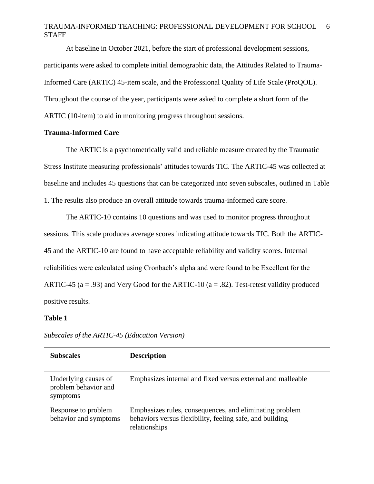At baseline in October 2021, before the start of professional development sessions, participants were asked to complete initial demographic data, the Attitudes Related to Trauma-Informed Care (ARTIC) 45-item scale, and the Professional Quality of Life Scale (ProQOL). Throughout the course of the year, participants were asked to complete a short form of the ARTIC (10-item) to aid in monitoring progress throughout sessions.

#### **Trauma-Informed Care**

The ARTIC is a psychometrically valid and reliable measure created by the Traumatic Stress Institute measuring professionals' attitudes towards TIC. The ARTIC-45 was collected at baseline and includes 45 questions that can be categorized into seven subscales, outlined in Table 1. The results also produce an overall attitude towards trauma-informed care score.

The ARTIC-10 contains 10 questions and was used to monitor progress throughout sessions. This scale produces average scores indicating attitude towards TIC. Both the ARTIC-45 and the ARTIC-10 are found to have acceptable reliability and validity scores. Internal reliabilities were calculated using Cronbach's alpha and were found to be Excellent for the ARTIC-45 ( $a = .93$ ) and Very Good for the ARTIC-10 ( $a = .82$ ). Test-retest validity produced positive results.

#### **Table 1**

| <b>Subscales</b>                                         | <b>Description</b>                                                                                                                   |
|----------------------------------------------------------|--------------------------------------------------------------------------------------------------------------------------------------|
| Underlying causes of<br>problem behavior and<br>symptoms | Emphasizes internal and fixed versus external and malleable                                                                          |
| Response to problem<br>behavior and symptoms             | Emphasizes rules, consequences, and eliminating problem<br>behaviors versus flexibility, feeling safe, and building<br>relationships |

*Subscales of the ARTIC-45 (Education Version)*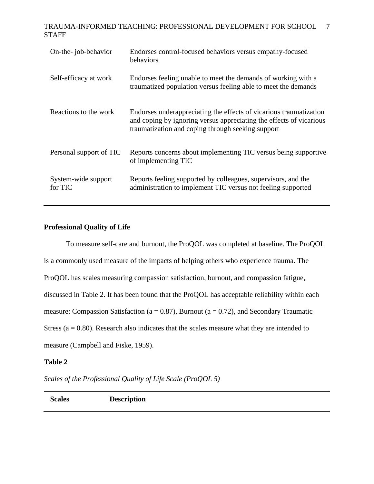| On-the-job-behavior            | Endorses control-focused behaviors versus empathy-focused<br>behaviors                                                                                                                         |
|--------------------------------|------------------------------------------------------------------------------------------------------------------------------------------------------------------------------------------------|
| Self-efficacy at work          | Endorses feeling unable to meet the demands of working with a<br>traumatized population versus feeling able to meet the demands                                                                |
| Reactions to the work          | Endorses underappreciating the effects of vicarious traumatization<br>and coping by ignoring versus appreciating the effects of vicarious<br>traumatization and coping through seeking support |
| Personal support of TIC        | Reports concerns about implementing TIC versus being supportive<br>of implementing TIC                                                                                                         |
| System-wide support<br>for TIC | Reports feeling supported by colleagues, supervisors, and the<br>administration to implement TIC versus not feeling supported                                                                  |

# **Professional Quality of Life**

To measure self-care and burnout, the ProQOL was completed at baseline. The ProQOL is a commonly used measure of the impacts of helping others who experience trauma. The ProQOL has scales measuring compassion satisfaction, burnout, and compassion fatigue, discussed in Table 2. It has been found that the ProQOL has acceptable reliability within each measure: Compassion Satisfaction ( $a = 0.87$ ), Burnout ( $a = 0.72$ ), and Secondary Traumatic Stress ( $a = 0.80$ ). Research also indicates that the scales measure what they are intended to measure (Campbell and Fiske, 1959).

### **Table 2**

*Scales of the Professional Quality of Life Scale (ProQOL 5)*

**Scales Description**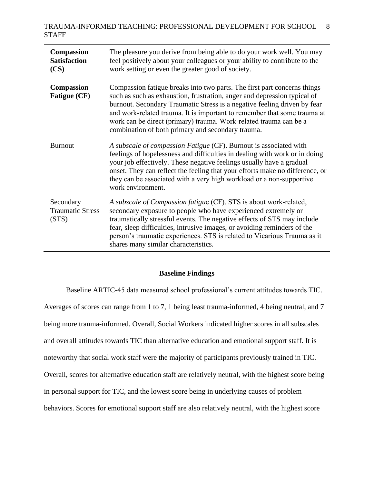| Compassion<br><b>Satisfaction</b><br>(CS)     | The pleasure you derive from being able to do your work well. You may<br>feel positively about your colleagues or your ability to contribute to the<br>work setting or even the greater good of society.                                                                                                                                                                                                                               |
|-----------------------------------------------|----------------------------------------------------------------------------------------------------------------------------------------------------------------------------------------------------------------------------------------------------------------------------------------------------------------------------------------------------------------------------------------------------------------------------------------|
| <b>Compassion</b><br><b>Fatigue (CF)</b>      | Compassion fatigue breaks into two parts. The first part concerns things<br>such as such as exhaustion, frustration, anger and depression typical of<br>burnout. Secondary Traumatic Stress is a negative feeling driven by fear<br>and work-related trauma. It is important to remember that some trauma at<br>work can be direct (primary) trauma. Work-related trauma can be a<br>combination of both primary and secondary trauma. |
| <b>Burnout</b>                                | A subscale of compassion Fatigue (CF). Burnout is associated with<br>feelings of hopelessness and difficulties in dealing with work or in doing<br>your job effectively. These negative feelings usually have a gradual<br>onset. They can reflect the feeling that your efforts make no difference, or<br>they can be associated with a very high workload or a non-supportive<br>work environment.                                   |
| Secondary<br><b>Traumatic Stress</b><br>(STS) | A subscale of Compassion fatigue (CF). STS is about work-related,<br>secondary exposure to people who have experienced extremely or<br>traumatically stressful events. The negative effects of STS may include<br>fear, sleep difficulties, intrusive images, or avoiding reminders of the<br>person's traumatic experiences. STS is related to Vicarious Trauma as it<br>shares many similar characteristics.                         |

#### **Baseline Findings**

Baseline ARTIC-45 data measured school professional's current attitudes towards TIC. Averages of scores can range from 1 to 7, 1 being least trauma-informed, 4 being neutral, and 7 being more trauma-informed. Overall, Social Workers indicated higher scores in all subscales and overall attitudes towards TIC than alternative education and emotional support staff. It is noteworthy that social work staff were the majority of participants previously trained in TIC. Overall, scores for alternative education staff are relatively neutral, with the highest score being in personal support for TIC, and the lowest score being in underlying causes of problem behaviors. Scores for emotional support staff are also relatively neutral, with the highest score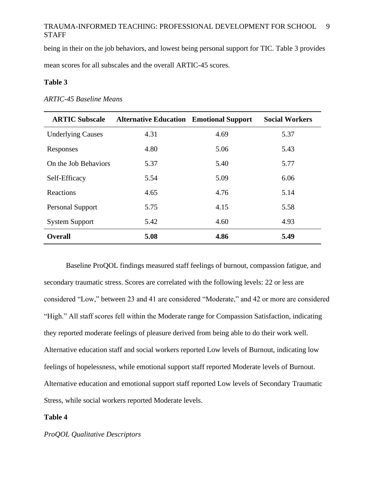being in their on the job behaviors, and lowest being personal support for TIC. Table 3 provides

mean scores for all subscales and the overall ARTIC-45 scores.

#### **Table 3**

#### *ARTIC-45 Baseline Means*

| <b>ARTIC Subscale</b>    | <b>Alternative Education Emotional Support</b> |      | <b>Social Workers</b> |
|--------------------------|------------------------------------------------|------|-----------------------|
| <b>Underlying Causes</b> | 4.31                                           | 4.69 | 5.37                  |
| Responses                | 4.80                                           | 5.06 | 5.43                  |
| On the Job Behaviors     | 5.37                                           | 5.40 | 5.77                  |
| Self-Efficacy            | 5.54                                           | 5.09 | 6.06                  |
| Reactions                | 4.65                                           | 4.76 | 5.14                  |
| Personal Support         | 5.75                                           | 4.15 | 5.58                  |
| <b>System Support</b>    | 5.42                                           | 4.60 | 4.93                  |
| <b>Overall</b>           | 5.08                                           | 4.86 | 5.49                  |

Baseline ProQOL findings measured staff feelings of burnout, compassion fatigue, and secondary traumatic stress. Scores are correlated with the following levels: 22 or less are considered "Low," between 23 and 41 are considered "Moderate," and 42 or more are considered "High." All staff scores fell within the Moderate range for Compassion Satisfaction, indicating they reported moderate feelings of pleasure derived from being able to do their work well. Alternative education staff and social workers reported Low levels of Burnout, indicating low feelings of hopelessness, while emotional support staff reported Moderate levels of Burnout. Alternative education and emotional support staff reported Low levels of Secondary Traumatic Stress, while social workers reported Moderate levels.

### **Table 4**

*ProQOL Qualitative Descriptors*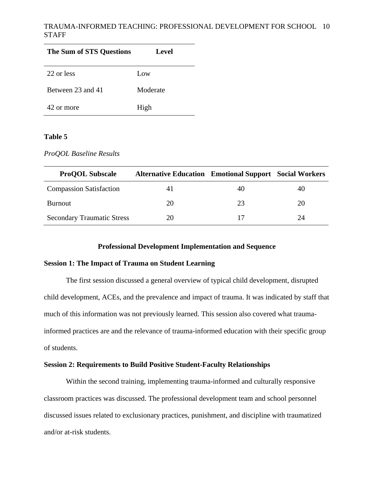| The Sum of STS Questions | Level    |
|--------------------------|----------|
| 22 or less               | Low      |
| Between 23 and 41        | Moderate |
| 42 or more               | High     |

# **Table 5**

| ProQOL Baseline Results |  |  |
|-------------------------|--|--|
|-------------------------|--|--|

| <b>ProQOL Subscale</b>            | <b>Alternative Education Emotional Support Social Workers</b> |    |    |
|-----------------------------------|---------------------------------------------------------------|----|----|
| <b>Compassion Satisfaction</b>    |                                                               |    | 40 |
| Burnout                           | 20                                                            | 23 | 20 |
| <b>Secondary Traumatic Stress</b> | 20                                                            |    | 24 |

### **Professional Development Implementation and Sequence**

## **Session 1: The Impact of Trauma on Student Learning**

The first session discussed a general overview of typical child development, disrupted child development, ACEs, and the prevalence and impact of trauma. It was indicated by staff that much of this information was not previously learned. This session also covered what traumainformed practices are and the relevance of trauma-informed education with their specific group of students.

#### **Session 2: Requirements to Build Positive Student-Faculty Relationships**

Within the second training, implementing trauma-informed and culturally responsive classroom practices was discussed. The professional development team and school personnel discussed issues related to exclusionary practices, punishment, and discipline with traumatized and/or at-risk students.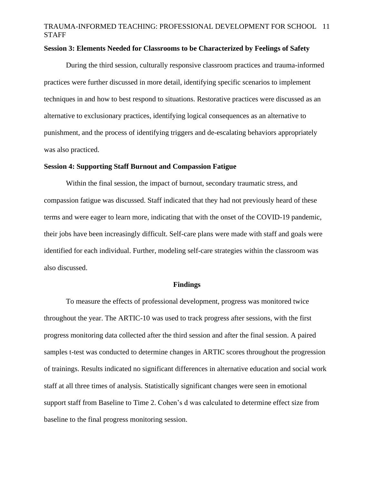#### **Session 3: Elements Needed for Classrooms to be Characterized by Feelings of Safety**

During the third session, culturally responsive classroom practices and trauma-informed practices were further discussed in more detail, identifying specific scenarios to implement techniques in and how to best respond to situations. Restorative practices were discussed as an alternative to exclusionary practices, identifying logical consequences as an alternative to punishment, and the process of identifying triggers and de-escalating behaviors appropriately was also practiced.

#### **Session 4: Supporting Staff Burnout and Compassion Fatigue**

Within the final session, the impact of burnout, secondary traumatic stress, and compassion fatigue was discussed. Staff indicated that they had not previously heard of these terms and were eager to learn more, indicating that with the onset of the COVID-19 pandemic, their jobs have been increasingly difficult. Self-care plans were made with staff and goals were identified for each individual. Further, modeling self-care strategies within the classroom was also discussed.

#### **Findings**

To measure the effects of professional development, progress was monitored twice throughout the year. The ARTIC-10 was used to track progress after sessions, with the first progress monitoring data collected after the third session and after the final session. A paired samples t-test was conducted to determine changes in ARTIC scores throughout the progression of trainings. Results indicated no significant differences in alternative education and social work staff at all three times of analysis. Statistically significant changes were seen in emotional support staff from Baseline to Time 2. Cohen's d was calculated to determine effect size from baseline to the final progress monitoring session.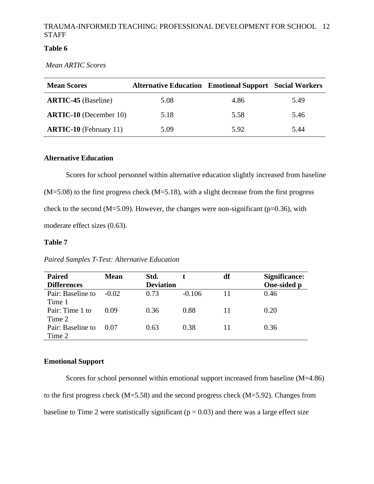# **Table 6**

*Mean ARTIC Scores*

| <b>Mean Scores</b>            | <b>Alternative Education Emotional Support Social Workers</b> |      |      |
|-------------------------------|---------------------------------------------------------------|------|------|
| <b>ARTIC-45</b> (Baseline)    | 5.08                                                          | 4.86 | 5.49 |
| <b>ARTIC-10</b> (December 10) | 5.18                                                          | 5.58 | 5.46 |
| <b>ARTIC-10</b> (February 11) | 5.09                                                          | 5.92 | 5.44 |

### **Alternative Education**

Scores for school personnel within alternative education slightly increased from baseline  $(M=5.08)$  to the first progress check  $(M=5.18)$ , with a slight decrease from the first progress check to the second (M=5.09). However, the changes were non-significant ( $p=0.36$ ), with moderate effect sizes (0.63).

#### **Table 7**

| <b>Paired</b>      | <b>Mean</b> | Std.             |          | df | Significance: |
|--------------------|-------------|------------------|----------|----|---------------|
| <b>Differences</b> |             | <b>Deviation</b> |          |    | One-sided p   |
| Pair: Baseline to  | $-0.02$     | 0.73             | $-0.106$ |    | 0.46          |
| Time 1             |             |                  |          |    |               |
| Pair: Time 1 to    | 0.09        | 0.36             | 0.88     | 11 | 0.20          |
| Time 2             |             |                  |          |    |               |
| Pair: Baseline to  | 0.07        | 0.63             | 0.38     |    | 0.36          |
| Time 2             |             |                  |          |    |               |

### *Paired Samples T-Test: Alternative Education*

## **Emotional Support**

Scores for school personnel within emotional support increased from baseline (M=4.86) to the first progress check (M=5.58) and the second progress check (M=5.92). Changes from baseline to Time 2 were statistically significant ( $p = 0.03$ ) and there was a large effect size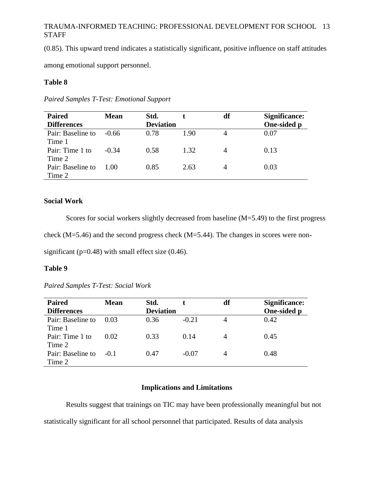(0.85). This upward trend indicates a statistically significant, positive influence on staff attitudes

among emotional support personnel.

### **Table 8**

| <b>Paired</b>      | <b>Mean</b> | Std.             |      | df | Significance: |
|--------------------|-------------|------------------|------|----|---------------|
| <b>Differences</b> |             | <b>Deviation</b> |      |    | One-sided p   |
| Pair: Baseline to  | -0.66       | 0.78             | 1.90 |    | 0.07          |
| Time 1             |             |                  |      |    |               |
| Pair: Time 1 to    | $-0.34$     | 0.58             | 1.32 |    | 0.13          |
| Time 2             |             |                  |      |    |               |
| Pair: Baseline to  | 1.00        | 0.85             | 2.63 |    | 0.03          |
| Time 2             |             |                  |      |    |               |

*Paired Samples T-Test: Emotional Support* 

#### **Social Work**

Scores for social workers slightly decreased from baseline (M=5.49) to the first progress check (M=5.46) and the second progress check (M=5.44). The changes in scores were nonsignificant ( $p=0.48$ ) with small effect size (0.46).

### **Table 9**

*Paired Samples T-Test: Social Work*

| <b>Paired</b>      | <b>Mean</b> | Std.             |         | df | <b>Significance:</b> |
|--------------------|-------------|------------------|---------|----|----------------------|
| <b>Differences</b> |             | <b>Deviation</b> |         |    | One-sided p          |
| Pair: Baseline to  | 0.03        | 0.36             | $-0.21$ | 4  | 0.42                 |
| Time 1             |             |                  |         |    |                      |
| Pair: Time 1 to    | 0.02        | 0.33             | 0.14    |    | 0.45                 |
| Time 2             |             |                  |         |    |                      |
| Pair: Baseline to  | $-0.1$      | 0.47             | $-0.07$ |    | 0.48                 |
| Time 2             |             |                  |         |    |                      |

# **Implications and Limitations**

Results suggest that trainings on TIC may have been professionally meaningful but not statistically significant for all school personnel that participated. Results of data analysis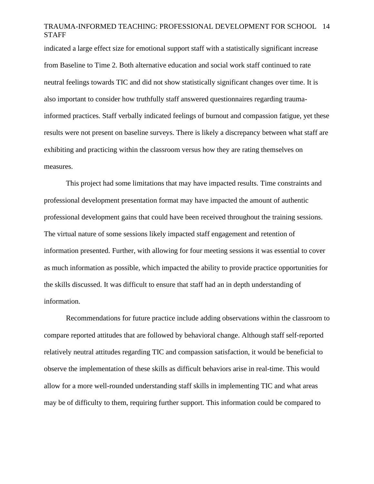indicated a large effect size for emotional support staff with a statistically significant increase from Baseline to Time 2. Both alternative education and social work staff continued to rate neutral feelings towards TIC and did not show statistically significant changes over time. It is also important to consider how truthfully staff answered questionnaires regarding traumainformed practices. Staff verbally indicated feelings of burnout and compassion fatigue, yet these results were not present on baseline surveys. There is likely a discrepancy between what staff are exhibiting and practicing within the classroom versus how they are rating themselves on measures.

This project had some limitations that may have impacted results. Time constraints and professional development presentation format may have impacted the amount of authentic professional development gains that could have been received throughout the training sessions. The virtual nature of some sessions likely impacted staff engagement and retention of information presented. Further, with allowing for four meeting sessions it was essential to cover as much information as possible, which impacted the ability to provide practice opportunities for the skills discussed. It was difficult to ensure that staff had an in depth understanding of information.

Recommendations for future practice include adding observations within the classroom to compare reported attitudes that are followed by behavioral change. Although staff self-reported relatively neutral attitudes regarding TIC and compassion satisfaction, it would be beneficial to observe the implementation of these skills as difficult behaviors arise in real-time. This would allow for a more well-rounded understanding staff skills in implementing TIC and what areas may be of difficulty to them, requiring further support. This information could be compared to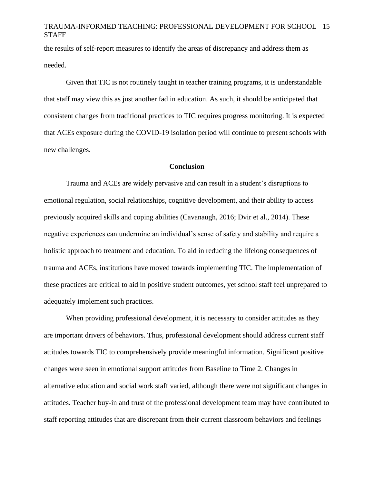the results of self-report measures to identify the areas of discrepancy and address them as needed.

Given that TIC is not routinely taught in teacher training programs, it is understandable that staff may view this as just another fad in education. As such, it should be anticipated that consistent changes from traditional practices to TIC requires progress monitoring. It is expected that ACEs exposure during the COVID-19 isolation period will continue to present schools with new challenges.

#### **Conclusion**

Trauma and ACEs are widely pervasive and can result in a student's disruptions to emotional regulation, social relationships, cognitive development, and their ability to access previously acquired skills and coping abilities (Cavanaugh, 2016; Dvir et al., 2014). These negative experiences can undermine an individual's sense of safety and stability and require a holistic approach to treatment and education. To aid in reducing the lifelong consequences of trauma and ACEs, institutions have moved towards implementing TIC. The implementation of these practices are critical to aid in positive student outcomes, yet school staff feel unprepared to adequately implement such practices.

When providing professional development, it is necessary to consider attitudes as they are important drivers of behaviors. Thus, professional development should address current staff attitudes towards TIC to comprehensively provide meaningful information. Significant positive changes were seen in emotional support attitudes from Baseline to Time 2. Changes in alternative education and social work staff varied, although there were not significant changes in attitudes. Teacher buy-in and trust of the professional development team may have contributed to staff reporting attitudes that are discrepant from their current classroom behaviors and feelings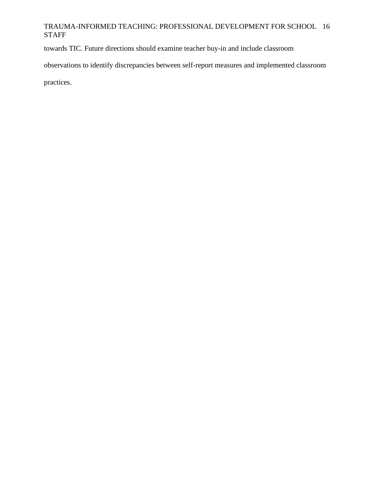towards TIC. Future directions should examine teacher buy-in and include classroom

observations to identify discrepancies between self-report measures and implemented classroom

practices.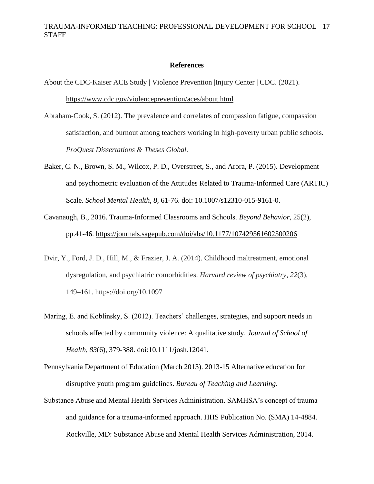# **References**

About the CDC-Kaiser ACE Study | Violence Prevention |Injury Center | CDC. (2021). <https://www.cdc.gov/violenceprevention/aces/about.html>

- Abraham-Cook, S. (2012). The prevalence and correlates of compassion fatigue, compassion satisfaction, and burnout among teachers working in high-poverty urban public schools*. ProQuest Dissertations & Theses Global.*
- Baker, C. N., Brown, S. M., Wilcox, P. D., Overstreet, S., and Arora, P. (2015). Development and psychometric evaluation of the Attitudes Related to Trauma-Informed Care (ARTIC) Scale. *School Mental Health, 8,* 61-76. doi: 10.1007/s12310-015-9161-0.
- Cavanaugh, B., 2016. Trauma-Informed Classrooms and Schools. *Beyond Behavior*, 25(2), pp.41-46. <https://journals.sagepub.com/doi/abs/10.1177/107429561602500206>
- Dvir, Y., Ford, J. D., Hill, M., & Frazier, J. A. (2014). Childhood maltreatment, emotional dysregulation, and psychiatric comorbidities. *Harvard review of psychiatry*, *22*(3), 149–161. https://doi.org/10.1097
- Maring, E. and Koblinsky, S. (2012). Teachers' challenges, strategies, and support needs in schools affected by community violence: A qualitative study. *Journal of School of Health, 83*(6), 379-388. doi:10.1111/josh.12041.
- Pennsylvania Department of Education (March 2013). 2013-15 Alternative education for disruptive youth program guidelines. *Bureau of Teaching and Learning*.
- Substance Abuse and Mental Health Services Administration. SAMHSA's concept of trauma and guidance for a trauma-informed approach. HHS Publication No. (SMA) 14-4884. Rockville, MD: Substance Abuse and Mental Health Services Administration, 2014.